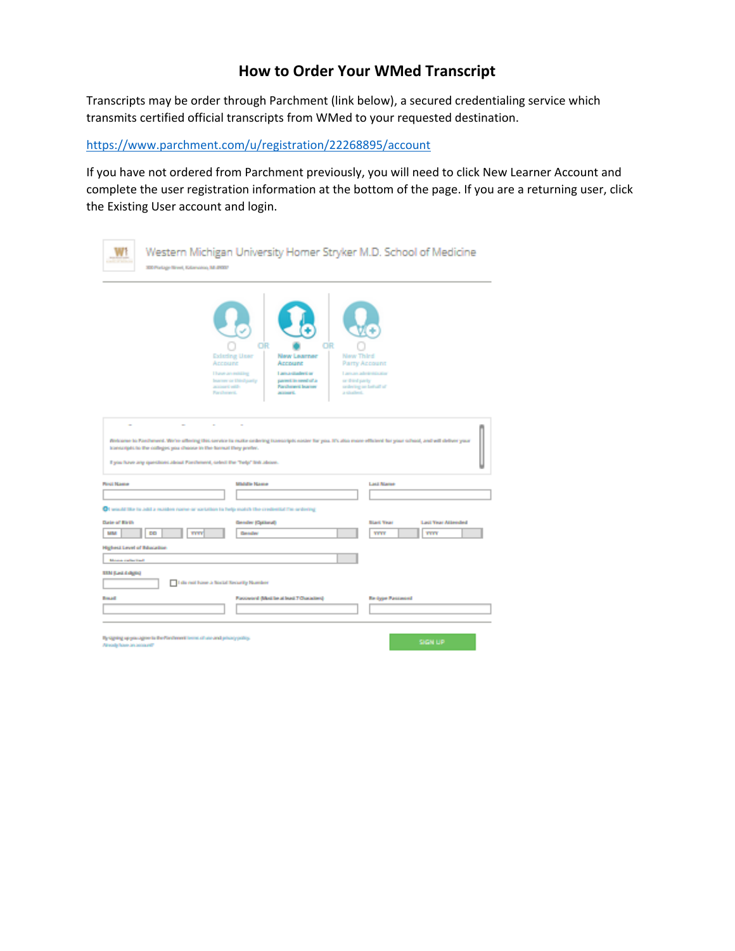## **How to Order Your WMed Transcript**

Transcripts may be order through Parchment (link below), a secured credentialing service which transmits certified official transcripts from WMed to your requested destination.

<https://www.parchment.com/u/registration/22268895/account>

If you have not ordered from Parchment previously, you will need to click New Learner Account and complete the user registration information at the bottom of the page. If you are a returning user, click the Existing User account and login.

| 330 Portuge News, Kalencocco, ML/20027                                                                                                       | Western Michigan University Homer Stryker M.D. School of Medicine                                                                                                                                                                                               |                                                                              |
|----------------------------------------------------------------------------------------------------------------------------------------------|-----------------------------------------------------------------------------------------------------------------------------------------------------------------------------------------------------------------------------------------------------------------|------------------------------------------------------------------------------|
| Account<br>account with<br>Parcherers.                                                                                                       | OR<br>OR<br><b>Existing User</b><br><b>New Learner</b><br><b>New Third</b><br>Account<br>I have an exhibiting<br>Lama student or<br>Instrument Children Palmer<br>parent in need of a<br>or third party.<br><b>Facilities's burner</b><br>account.<br>a shaked. | Party Account<br>Laman administrator<br>centering an last salt of            |
| learnerspitchs the colleges you choose in the bannel they prefer.<br>I you have any questions about Farchment, select the "help" link above. | Webcame to Panchenent. We're offering this cervice in make ordering transcripts naster for you. It's also more efficient for your school, and will deliver your                                                                                                 |                                                                              |
| <b>Pinut Name</b>                                                                                                                            | <b>Middle Name</b>                                                                                                                                                                                                                                              | <b>Last Name</b>                                                             |
|                                                                                                                                              |                                                                                                                                                                                                                                                                 |                                                                              |
| CI would like to Jobb a musiken name or sartation to help match the credential fits ordering                                                 |                                                                                                                                                                                                                                                                 |                                                                              |
| Date of Eirih<br><b>MM</b><br>DD<br><b>FYEY</b>                                                                                              | <b>Gender (Optional)</b><br><b>Gender</b>                                                                                                                                                                                                                       | <b>Black Year</b><br><b>Last Year Attended</b><br><b>TYPE</b><br><b>TITT</b> |
| <b>Highest Level of Education</b>                                                                                                            |                                                                                                                                                                                                                                                                 |                                                                              |
| Money called East                                                                                                                            |                                                                                                                                                                                                                                                                 |                                                                              |
| <b>EEM (Les) 4 digits)</b><br>I do not have a finitel forceity Number                                                                        |                                                                                                                                                                                                                                                                 |                                                                              |
| <b>Boxad</b>                                                                                                                                 | Faccionist (Mod be at least 7 Characters)                                                                                                                                                                                                                       | <b>Re-Opper Passions ed</b>                                                  |
|                                                                                                                                              |                                                                                                                                                                                                                                                                 |                                                                              |
| By signing up you agree to the Ford revert terms of use and privacy policy.<br>Arrody have an account?                                       |                                                                                                                                                                                                                                                                 | <b>SIGN UP</b>                                                               |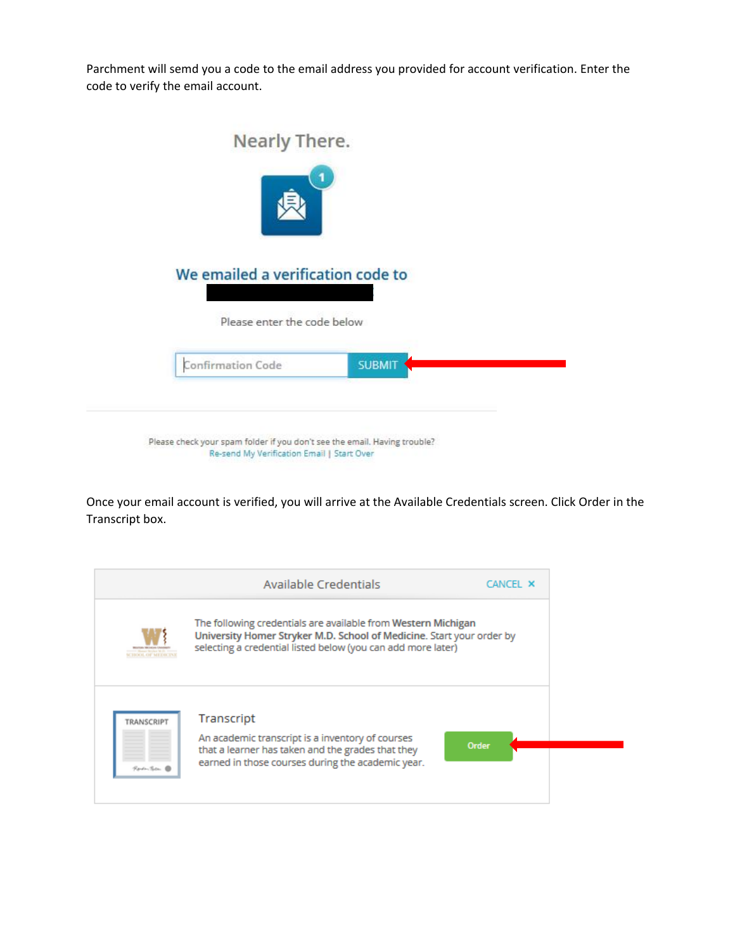Parchment will semd you a code to the email address you provided for account verification. Enter the code to verify the email account.

| Nearly There.                     |               |
|-----------------------------------|---------------|
| We emailed a verification code to |               |
| Please enter the code below       | <b>SUBMIT</b> |
| Confirmation Code                 |               |

Once your email account is verified, you will arrive at the Available Credentials screen. Click Order in the Transcript box.

|                           | Available Credentials                                                                                                                                                                                  | CANCEL X     |
|---------------------------|--------------------------------------------------------------------------------------------------------------------------------------------------------------------------------------------------------|--------------|
|                           | The following credentials are available from Western Michigan<br>University Homer Stryker M.D. School of Medicine. Start your order by<br>selecting a credential listed below (you can add more later) |              |
| TRANSCRIPT<br>Rodentica @ | Transcript<br>An academic transcript is a inventory of courses<br>that a learner has taken and the grades that they<br>earned in those courses during the academic year.                               | <b>Order</b> |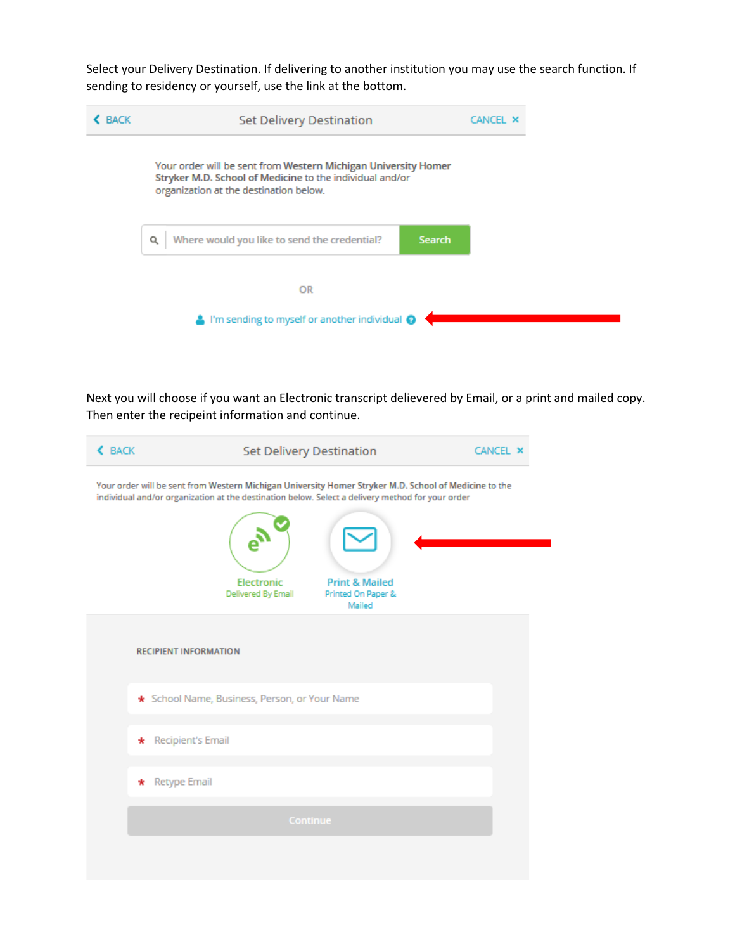Select your Delivery Destination. If delivering to another institution you may use the search function. If sending to residency or yourself, use the link at the bottom.



Next you will choose if you want an Electronic transcript delievered by Email, or a print and mailed copy. Then enter the recipeint information and continue.

| <b>&lt; BACK</b> | Set Delivery Destination                                                                                                                                                                                  | <b>CANCEL X</b> |
|------------------|-----------------------------------------------------------------------------------------------------------------------------------------------------------------------------------------------------------|-----------------|
|                  | Your order will be sent from Western Michigan University Homer Stryker M.D. School of Medicine to the<br>individual and/or organization at the destination below. Select a delivery method for your order |                 |
|                  |                                                                                                                                                                                                           |                 |
|                  | Electronic<br><b>Print &amp; Mailed</b><br>Delivered By Email<br>Printed On Paper &<br>Mailed                                                                                                             |                 |
|                  | <b>RECIPIENT INFORMATION</b>                                                                                                                                                                              |                 |
|                  | * School Name, Business, Person, or Your Name                                                                                                                                                             |                 |
|                  | * Recipient's Email                                                                                                                                                                                       |                 |
| * Retype Email   |                                                                                                                                                                                                           |                 |
|                  | <b>Continue</b>                                                                                                                                                                                           |                 |
|                  |                                                                                                                                                                                                           |                 |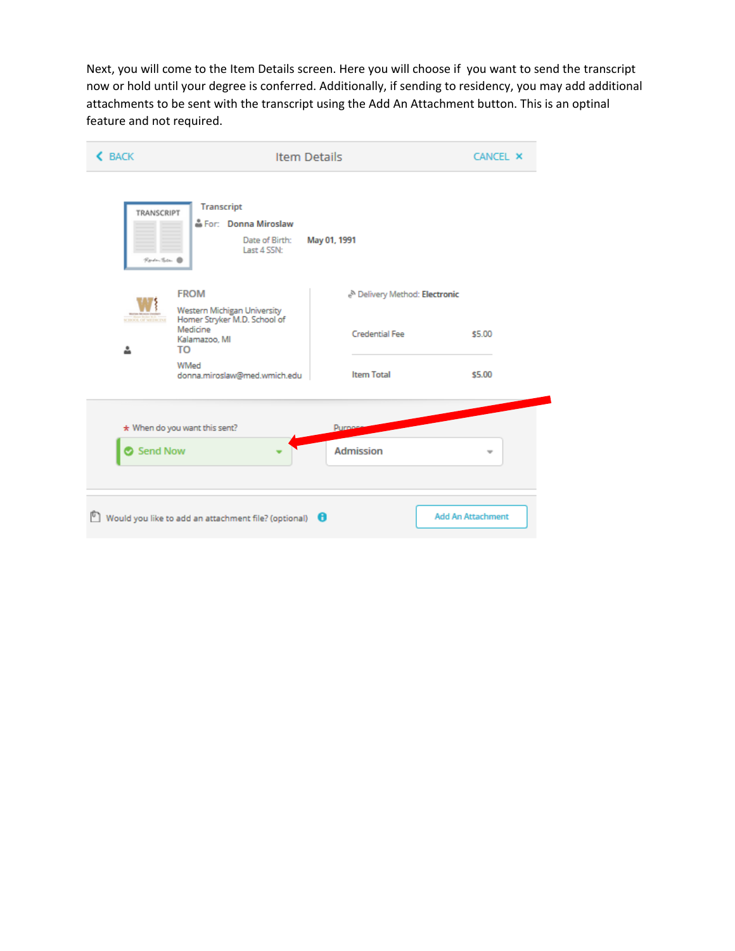Next, you will come to the Item Details screen. Here you will choose if you want to send the transcript now or hold until your degree is conferred. Additionally, if sending to residency, you may add additional attachments to be sent with the transcript using the Add An Attachment button. This is an optinal feature and not required.

| <b>&lt; BACK</b>                                                                                                                                        | <b>Item Details</b>                                                          |                                          | <b>CANCEL X</b>          |  |
|---------------------------------------------------------------------------------------------------------------------------------------------------------|------------------------------------------------------------------------------|------------------------------------------|--------------------------|--|
| TRANSCRIPT<br>Roden Teten (                                                                                                                             | <b>Transcript</b><br>For: Donna Miroslaw<br>Date of Birth:<br>Last 4 SSN:    | May 01, 1991                             |                          |  |
| <b>FROM</b><br>Western Michigan University<br>Homer Stryker M.D. School of<br><b>SCHOOL OF SELBICINE</b><br>Medicine<br>Kalamazoo, MI<br>∸<br><b>TO</b> |                                                                              | <sup>N</sup> Delivery Method: Electronic |                          |  |
|                                                                                                                                                         |                                                                              | <b>Credential Fee</b>                    | \$5.00                   |  |
|                                                                                                                                                         | WMed<br>donna.miroslaw@med.wmich.edu                                         | <b>Item Total</b>                        | \$5.00                   |  |
| $\star$ When do you want this sent?<br><b>Purpose</b>                                                                                                   |                                                                              |                                          |                          |  |
| Send Now                                                                                                                                                |                                                                              | <b>Admission</b>                         | $\overline{\phantom{a}}$ |  |
| Γ٦                                                                                                                                                      | Would you like to add an attachment file? (optional) $\qquad \qquad \bullet$ |                                          | <b>Add An Attachment</b> |  |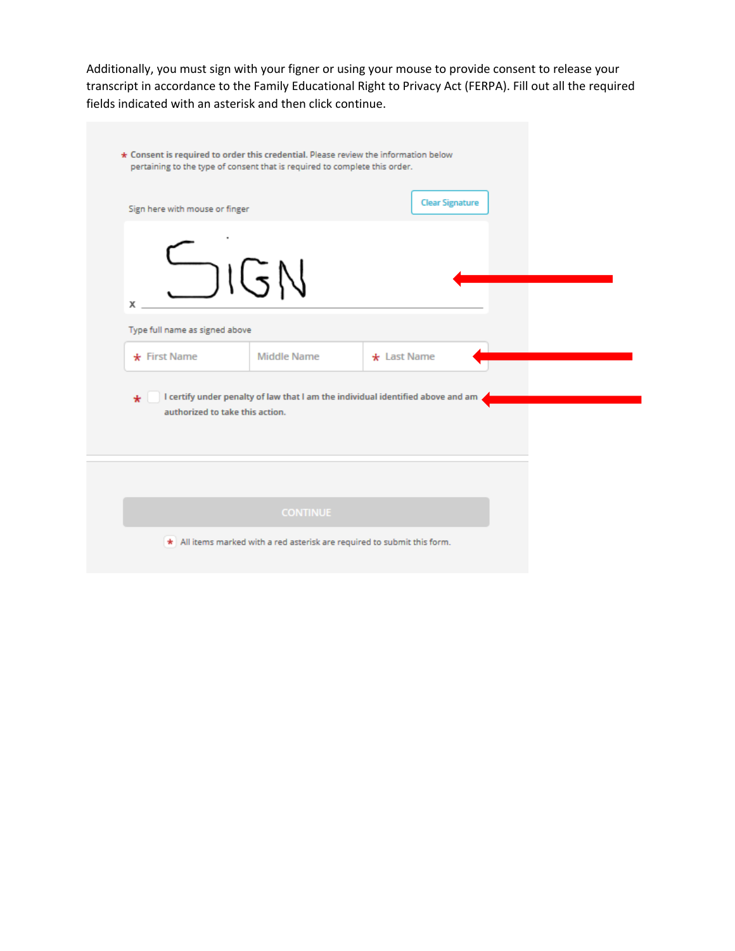Additionally, you must sign with your figner or using your mouse to provide consent to release your transcript in accordance to the Family Educational Right to Privacy Act (FERPA). Fill out all the required fields indicated with an asterisk and then click continue.

| * Consent is required to order this credential. Please review the information below | pertaining to the type of consent that is required to complete this order.      |                        |  |
|-------------------------------------------------------------------------------------|---------------------------------------------------------------------------------|------------------------|--|
| Sign here with mouse or finger                                                      |                                                                                 | <b>Clear Signature</b> |  |
| SIGN<br>х                                                                           |                                                                                 |                        |  |
| Type full name as signed above                                                      |                                                                                 |                        |  |
| $\star$ First Name                                                                  | <b>Middle Name</b>                                                              | $\star$ Last Name      |  |
| ÷<br>authorized to take this action.                                                | I certify under penalty of law that I am the individual identified above and am |                        |  |
|                                                                                     |                                                                                 |                        |  |
|                                                                                     | <b>CONTINUE</b>                                                                 |                        |  |
|                                                                                     | * All items marked with a red asterisk are required to submit this form.        |                        |  |